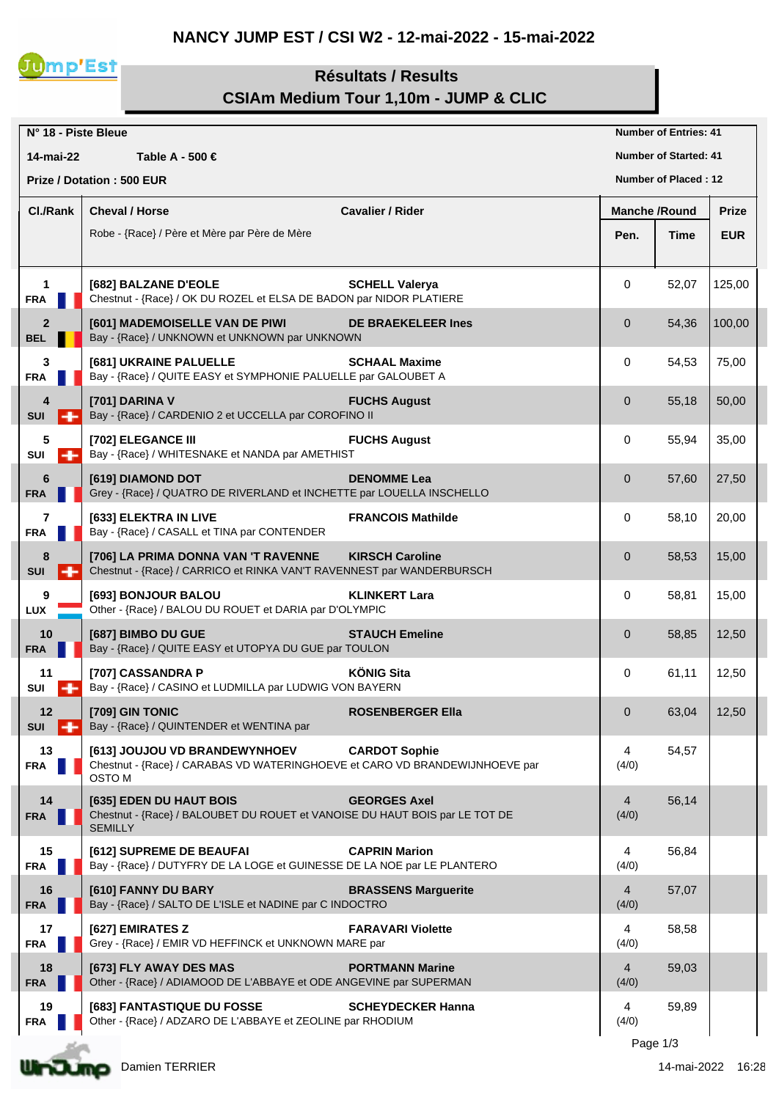## **NANCY JUMP EST / CSI W2 - 12-mai-2022 - 15-mai-2022**



## **Résultats / Results CSIAm Medium Tour 1,10m - JUMP & CLIC**

|                              |                          | N° 18 - Piste Bleue                                                                                                          |                            |                      | <b>Number of Entries: 41</b> |              |
|------------------------------|--------------------------|------------------------------------------------------------------------------------------------------------------------------|----------------------------|----------------------|------------------------------|--------------|
| 14-mai-22                    |                          | Table A - 500 €                                                                                                              |                            |                      | <b>Number of Started: 41</b> |              |
|                              |                          | <b>Prize / Dotation: 500 EUR</b>                                                                                             |                            |                      | <b>Number of Placed: 12</b>  |              |
| Cl./Rank                     |                          | <b>Cheval / Horse</b>                                                                                                        | <b>Cavalier / Rider</b>    | <b>Manche /Round</b> |                              | <b>Prize</b> |
|                              |                          | Robe - {Race} / Père et Mère par Père de Mère                                                                                |                            | Pen.                 | Time                         | <b>EUR</b>   |
|                              |                          |                                                                                                                              |                            |                      |                              |              |
| $\mathbf 1$<br><b>FRA</b>    |                          | [682] BALZANE D'EOLE<br>Chestnut - {Race} / OK DU ROZEL et ELSA DE BADON par NIDOR PLATIERE                                  | <b>SCHELL Valerya</b>      | 0                    | 52,07                        | 125,00       |
| $\overline{2}$<br><b>BEL</b> |                          | [601] MADEMOISELLE VAN DE PIWI<br>Bay - {Race} / UNKNOWN et UNKNOWN par UNKNOWN                                              | <b>DE BRAEKELEER Ines</b>  | $\mathbf{0}$         | 54,36                        | 100,00       |
| 3<br><b>FRA</b>              |                          | [681] UKRAINE PALUELLE<br>Bay - {Race} / QUITE EASY et SYMPHONIE PALUELLE par GALOUBET A                                     | <b>SCHAAL Maxime</b>       | 0                    | 54,53                        | 75,00        |
| 4<br><b>SUI</b>              | н                        | [701] DARINA V<br>Bay - {Race} / CARDENIO 2 et UCCELLA par COROFINO II                                                       | <b>FUCHS August</b>        | 0                    | 55,18                        | 50,00        |
| 5<br>SUI                     | ÷                        | [702] ELEGANCE III<br>Bay - {Race} / WHITESNAKE et NANDA par AMETHIST                                                        | <b>FUCHS August</b>        | 0                    | 55,94                        | 35,00        |
| 6<br><b>FRA</b>              |                          | [619] DIAMOND DOT<br>Grey - {Race} / QUATRO DE RIVERLAND et INCHETTE par LOUELLA INSCHELLO                                   | <b>DENOMME Lea</b>         | 0                    | 57,60                        | 27,50        |
| 7<br><b>FRA</b>              |                          | [633] ELEKTRA IN LIVE<br>Bay - {Race} / CASALL et TINA par CONTENDER                                                         | <b>FRANCOIS Mathilde</b>   | 0                    | 58,10                        | 20,00        |
| 8<br><b>SUI</b>              |                          | [706] LA PRIMA DONNA VAN 'T RAVENNE<br>Chestnut - {Race} / CARRICO et RINKA VAN'T RAVENNEST par WANDERBURSCH                 | <b>KIRSCH Caroline</b>     | 0                    | 58,53                        | 15,00        |
| 9<br><b>LUX</b>              |                          | [693] BONJOUR BALOU<br>Other - {Race} / BALOU DU ROUET et DARIA par D'OLYMPIC                                                | <b>KLINKERT Lara</b>       | 0                    | 58,81                        | 15,00        |
| 10<br><b>FRA</b>             |                          | [687] BIMBO DU GUE<br>Bay - {Race} / QUITE EASY et UTOPYA DU GUE par TOULON                                                  | <b>STAUCH Emeline</b>      | $\mathbf{0}$         | 58,85                        | 12,50        |
| 11<br>SUI                    | $\overline{\phantom{a}}$ | [707] CASSANDRA P<br>Bay - {Race} / CASINO et LUDMILLA par LUDWIG VON BAYERN                                                 | <b>KÖNIG Sita</b>          | 0                    | 61,11                        | 12,50        |
| 12<br><b>SUI</b>             | . н                      | [709] GIN TONIC<br>Bay - {Race} / QUINTENDER et WENTINA par                                                                  | <b>ROSENBERGER Ella</b>    | $\overline{0}$       | 63,04                        | 12,50        |
| 13<br><b>FRA</b>             |                          | [613] JOUJOU VD BRANDEWYNHOEV<br>Chestnut - {Race} / CARABAS VD WATERINGHOEVE et CARO VD BRANDEWIJNHOEVE par<br><b>OSTOM</b> | <b>CARDOT Sophie</b>       | 4<br>(4/0)           | 54,57                        |              |
| 14<br>FRA                    |                          | [635] EDEN DU HAUT BOIS<br>Chestnut - {Race} / BALOUBET DU ROUET et VANOISE DU HAUT BOIS par LE TOT DE<br><b>SEMILLY</b>     | <b>GEORGES Axel</b>        | 4<br>(4/0)           | 56,14                        |              |
| 15<br><b>FRA</b>             |                          | [612] SUPREME DE BEAUFAI<br>Bay - {Race} / DUTYFRY DE LA LOGE et GUINESSE DE LA NOE par LE PLANTERO                          | <b>CAPRIN Marion</b>       | 4<br>(4/0)           | 56,84                        |              |
| 16<br><b>FRA</b>             |                          | [610] FANNY DU BARY<br>Bay - {Race} / SALTO DE L'ISLE et NADINE par C INDOCTRO                                               | <b>BRASSENS Marguerite</b> | 4<br>(4/0)           | 57,07                        |              |
| 17<br><b>FRA</b>             |                          | [627] EMIRATES Z<br>Grey - {Race} / EMIR VD HEFFINCK et UNKNOWN MARE par                                                     | <b>FARAVARI Violette</b>   | 4<br>(4/0)           | 58,58                        |              |
| 18<br><b>FRA</b>             |                          | [673] FLY AWAY DES MAS<br>Other - {Race} / ADIAMOOD DE L'ABBAYE et ODE ANGEVINE par SUPERMAN                                 | <b>PORTMANN Marine</b>     | 4<br>(4/0)           | 59,03                        |              |
| 19<br>FRA                    |                          | [683] FANTASTIQUE DU FOSSE<br>Other - {Race} / ADZARO DE L'ABBAYE et ZEOLINE par RHODIUM                                     | <b>SCHEYDECKER Hanna</b>   | 4<br>(4/0)           | 59,89                        |              |
|                              |                          |                                                                                                                              |                            |                      |                              |              |

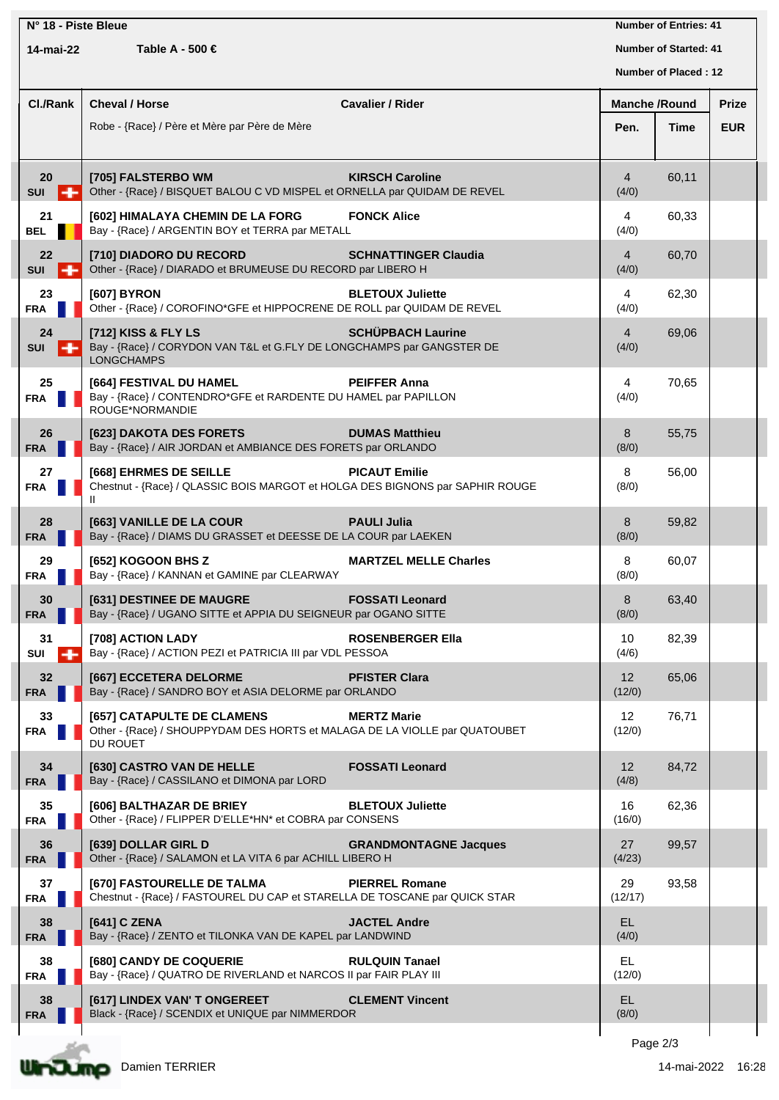| N° 18 - Piste Bleue<br>Table A - 500 €<br>14-mai-22 |                                                                                                                      |                              |                             | <b>Number of Entries: 41</b><br><b>Number of Started: 41</b> |              |  |
|-----------------------------------------------------|----------------------------------------------------------------------------------------------------------------------|------------------------------|-----------------------------|--------------------------------------------------------------|--------------|--|
|                                                     |                                                                                                                      |                              | Number of Placed: 12        |                                                              |              |  |
| Cl./Rank                                            | <b>Cheval / Horse</b>                                                                                                | <b>Cavalier / Rider</b>      | <b>Manche /Round</b>        |                                                              | <b>Prize</b> |  |
|                                                     | Robe - {Race} / Père et Mère par Père de Mère                                                                        |                              | Pen.                        | Time                                                         | <b>EUR</b>   |  |
| 20<br><b>SUI</b><br>╍                               | [705] FALSTERBO WM<br>Other - {Race} / BISQUET BALOU C VD MISPEL et ORNELLA par QUIDAM DE REVEL                      | <b>KIRSCH Caroline</b>       | $\overline{4}$<br>(4/0)     | 60,11                                                        |              |  |
| 21<br><b>BEL</b>                                    | [602] HIMALAYA CHEMIN DE LA FORG<br>Bay - {Race} / ARGENTIN BOY et TERRA par METALL                                  | <b>FONCK Alice</b>           | 4<br>(4/0)                  | 60,33                                                        |              |  |
| 22<br><b>SUI</b><br>н.                              | [710] DIADORO DU RECORD<br>Other - {Race} / DIARADO et BRUMEUSE DU RECORD par LIBERO H                               | <b>SCHNATTINGER Claudia</b>  | $\overline{4}$<br>(4/0)     | 60,70                                                        |              |  |
| 23<br><b>FRA</b>                                    | [607] BYRON<br>Other - {Race} / COROFINO*GFE et HIPPOCRENE DE ROLL par QUIDAM DE REVEL                               | <b>BLETOUX Juliette</b>      | 4<br>(4/0)                  | 62,30                                                        |              |  |
| 24<br><b>SUI</b><br>н                               | [712] KISS & FLY LS<br>Bay - {Race} / CORYDON VAN T&L et G.FLY DE LONGCHAMPS par GANGSTER DE<br><b>LONGCHAMPS</b>    | <b>SCHÜPBACH Laurine</b>     | $\overline{4}$<br>(4/0)     | 69,06                                                        |              |  |
| 25<br><b>FRA</b>                                    | [664] FESTIVAL DU HAMEL<br>Bay - {Race} / CONTENDRO*GFE et RARDENTE DU HAMEL par PAPILLON<br>ROUGE*NORMANDIE         | <b>PEIFFER Anna</b>          | 4<br>(4/0)                  | 70,65                                                        |              |  |
| 26<br><b>FRA</b>                                    | [623] DAKOTA DES FORETS<br>Bay - {Race} / AIR JORDAN et AMBIANCE DES FORETS par ORLANDO                              | <b>DUMAS Matthieu</b>        | 8<br>(8/0)                  | 55,75                                                        |              |  |
| 27<br><b>FRA</b>                                    | [668] EHRMES DE SEILLE<br>Chestnut - {Race} / QLASSIC BOIS MARGOT et HOLGA DES BIGNONS par SAPHIR ROUGE              | <b>PICAUT Emilie</b>         | 8<br>(8/0)                  | 56,00                                                        |              |  |
| 28<br><b>FRA</b>                                    | [663] VANILLE DE LA COUR<br>Bay - {Race} / DIAMS DU GRASSET et DEESSE DE LA COUR par LAEKEN                          | <b>PAULI Julia</b>           | 8<br>(8/0)                  | 59,82                                                        |              |  |
| 29<br><b>FRA</b>                                    | [652] KOGOON BHS Z<br>Bay - {Race} / KANNAN et GAMINE par CLEARWAY                                                   | <b>MARTZEL MELLE Charles</b> | 8<br>(8/0)                  | 60,07                                                        |              |  |
| 30<br><b>FRA</b>                                    | [631] DESTINEE DE MAUGRE<br>Bay - {Race} / UGANO SITTE et APPIA DU SEIGNEUR par OGANO SITTE                          | <b>FOSSATI Leonard</b>       | 8<br>(8/0)                  | 63,40                                                        |              |  |
| 31<br>$\mathsf{S} \mathsf{U} \mathsf{I}$            | <b>[708] ACTION LADY</b><br>Bay - {Race} / ACTION PEZI et PATRICIA III par VDL PESSOA                                | <b>ROSENBERGER Ella</b>      | 10<br>(4/6)                 | 82,39                                                        |              |  |
| 32<br><b>FRA</b>                                    | [667] ECCETERA DELORME<br>Bay - {Race} / SANDRO BOY et ASIA DELORME par ORLANDO                                      | <b>PFISTER Clara</b>         | 12<br>(12/0)                | 65,06                                                        |              |  |
| 33<br><b>FRA</b>                                    | [657] CATAPULTE DE CLAMENS<br>Other - {Race} / SHOUPPYDAM DES HORTS et MALAGA DE LA VIOLLE par QUATOUBET<br>DU ROUET | <b>MERTZ Marie</b>           | $12 \overline{ }$<br>(12/0) | 76,71                                                        |              |  |
| 34<br><b>FRA</b>                                    | [630] CASTRO VAN DE HELLE<br>Bay - {Race} / CASSILANO et DIMONA par LORD                                             | <b>FOSSATI Leonard</b>       | 12<br>(4/8)                 | 84,72                                                        |              |  |
| 35<br><b>FRA</b>                                    | [606] BALTHAZAR DE BRIEY<br>Other - {Race} / FLIPPER D'ELLE*HN* et COBRA par CONSENS                                 | <b>BLETOUX Juliette</b>      | 16<br>(16/0)                | 62,36                                                        |              |  |
| 36<br><b>FRA</b>                                    | [639] DOLLAR GIRL D<br>Other - {Race} / SALAMON et LA VITA 6 par ACHILL LIBERO H                                     | <b>GRANDMONTAGNE Jacques</b> | 27<br>(4/23)                | 99,57                                                        |              |  |
| 37<br><b>FRA</b>                                    | [670] FASTOURELLE DE TALMA<br>Chestnut - {Race} / FASTOUREL DU CAP et STARELLA DE TOSCANE par QUICK STAR             | <b>PIERREL Romane</b>        | 29<br>(12/17)               | 93,58                                                        |              |  |
| 38<br><b>FRA</b>                                    | [641] C ZENA<br>Bay - {Race} / ZENTO et TILONKA VAN DE KAPEL par LANDWIND                                            | <b>JACTEL Andre</b>          | EL.<br>(4/0)                |                                                              |              |  |
| 38<br><b>FRA</b>                                    | [680] CANDY DE COQUERIE<br>Bay - {Race} / QUATRO DE RIVERLAND et NARCOS II par FAIR PLAY III                         | <b>RULQUIN Tanael</b>        | EL.<br>(12/0)               |                                                              |              |  |
| 38<br><b>FRA</b>                                    | [617] LINDEX VAN' T ONGEREET<br>Black - {Race} / SCENDIX et UNIQUE par NIMMERDOR                                     | <b>CLEMENT Vincent</b>       | EL.<br>(8/0)                |                                                              |              |  |
|                                                     |                                                                                                                      |                              | Page 2/3                    |                                                              |              |  |